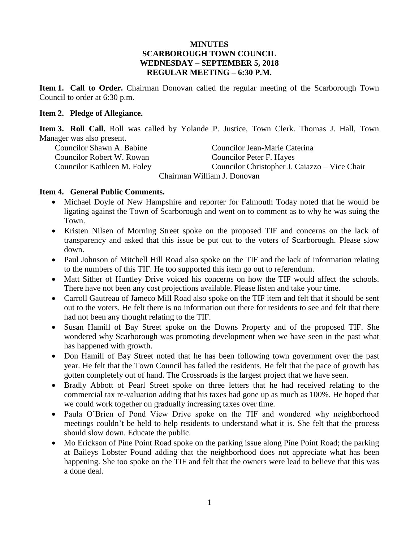## **MINUTES SCARBOROUGH TOWN COUNCIL WEDNESDAY – SEPTEMBER 5, 2018 REGULAR MEETING – 6:30 P.M.**

**Item 1. Call to Order.** Chairman Donovan called the regular meeting of the Scarborough Town Council to order at 6:30 p.m.

## **Item 2. Pledge of Allegiance.**

**Item 3. Roll Call.** Roll was called by Yolande P. Justice, Town Clerk. Thomas J. Hall, Town Manager was also present.

Councilor Robert W. Rowan Councilor Peter F. Hayes

Councilor Shawn A. Babine Councilor Jean-Marie Caterina Councilor Kathleen M. Foley Councilor Christopher J. Caiazzo – Vice Chair Chairman William J. Donovan

## **Item 4. General Public Comments.**

- Michael Doyle of New Hampshire and reporter for Falmouth Today noted that he would be ligating against the Town of Scarborough and went on to comment as to why he was suing the Town.
- Kristen Nilsen of Morning Street spoke on the proposed TIF and concerns on the lack of transparency and asked that this issue be put out to the voters of Scarborough. Please slow down.
- Paul Johnson of Mitchell Hill Road also spoke on the TIF and the lack of information relating to the numbers of this TIF. He too supported this item go out to referendum.
- Matt Sither of Huntley Drive voiced his concerns on how the TIF would affect the schools. There have not been any cost projections available. Please listen and take your time.
- Carroll Gautreau of Jameco Mill Road also spoke on the TIF item and felt that it should be sent out to the voters. He felt there is no information out there for residents to see and felt that there had not been any thought relating to the TIF.
- Susan Hamill of Bay Street spoke on the Downs Property and of the proposed TIF. She wondered why Scarborough was promoting development when we have seen in the past what has happened with growth.
- Don Hamill of Bay Street noted that he has been following town government over the past year. He felt that the Town Council has failed the residents. He felt that the pace of growth has gotten completely out of hand. The Crossroads is the largest project that we have seen.
- Bradly Abbott of Pearl Street spoke on three letters that he had received relating to the commercial tax re-valuation adding that his taxes had gone up as much as 100%. He hoped that we could work together on gradually increasing taxes over time.
- Paula O'Brien of Pond View Drive spoke on the TIF and wondered why neighborhood meetings couldn't be held to help residents to understand what it is. She felt that the process should slow down. Educate the public.
- Mo Erickson of Pine Point Road spoke on the parking issue along Pine Point Road; the parking at Baileys Lobster Pound adding that the neighborhood does not appreciate what has been happening. She too spoke on the TIF and felt that the owners were lead to believe that this was a done deal.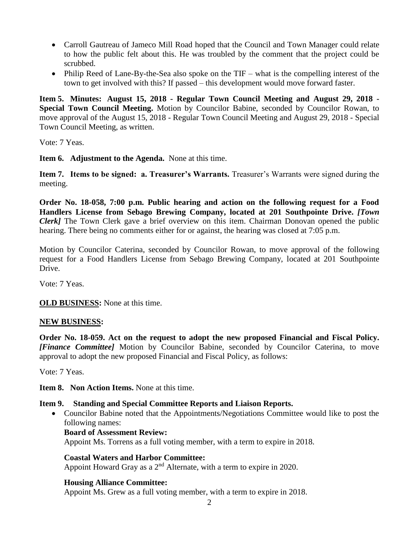- Carroll Gautreau of Jameco Mill Road hoped that the Council and Town Manager could relate to how the public felt about this. He was troubled by the comment that the project could be scrubbed.
- Philip Reed of Lane-By-the-Sea also spoke on the TIF what is the compelling interest of the town to get involved with this? If passed – this development would move forward faster.

**Item 5. Minutes: August 15, 2018 - Regular Town Council Meeting and August 29, 2018 - Special Town Council Meeting.** Motion by Councilor Babine, seconded by Councilor Rowan, to move approval of the August 15, 2018 - Regular Town Council Meeting and August 29, 2018 - Special Town Council Meeting, as written.

Vote: 7 Yeas.

**Item 6. Adjustment to the Agenda.** None at this time.

**Item 7. Items to be signed: a. Treasurer's Warrants.** Treasurer's Warrants were signed during the meeting.

**Order No. 18-058, 7:00 p.m. Public hearing and action on the following request for a Food Handlers License from Sebago Brewing Company, located at 201 Southpointe Drive.** *[Town Clerk]* The Town Clerk gave a brief overview on this item. Chairman Donovan opened the public hearing. There being no comments either for or against, the hearing was closed at 7:05 p.m.

Motion by Councilor Caterina, seconded by Councilor Rowan, to move approval of the following request for a Food Handlers License from Sebago Brewing Company, located at 201 Southpointe Drive.

Vote: 7 Yeas.

**OLD BUSINESS:** None at this time.

# **NEW BUSINESS:**

**Order No. 18-059. Act on the request to adopt the new proposed Financial and Fiscal Policy.** *[Finance Committee]* Motion by Councilor Babine, seconded by Councilor Caterina, to move approval to adopt the new proposed Financial and Fiscal Policy, as follows:

Vote: 7 Yeas.

**Item 8. Non Action Items.** None at this time.

# **Item 9. Standing and Special Committee Reports and Liaison Reports.**

• Councilor Babine noted that the Appointments/Negotiations Committee would like to post the following names:

## **Board of Assessment Review:**

Appoint Ms. Torrens as a full voting member, with a term to expire in 2018.

## **Coastal Waters and Harbor Committee:**

Appoint Howard Gray as a  $2<sup>nd</sup>$  Alternate, with a term to expire in 2020.

# **Housing Alliance Committee:**

Appoint Ms. Grew as a full voting member, with a term to expire in 2018.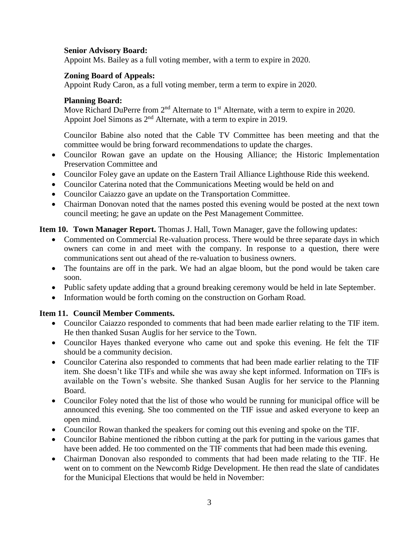## **Senior Advisory Board:**

Appoint Ms. Bailey as a full voting member, with a term to expire in 2020.

## **Zoning Board of Appeals:**

Appoint Rudy Caron, as a full voting member, term a term to expire in 2020.

## **Planning Board:**

Move Richard DuPerre from 2<sup>nd</sup> Alternate to 1<sup>st</sup> Alternate, with a term to expire in 2020. Appoint Joel Simons as 2<sup>nd</sup> Alternate, with a term to expire in 2019.

Councilor Babine also noted that the Cable TV Committee has been meeting and that the committee would be bring forward recommendations to update the charges.

- Councilor Rowan gave an update on the Housing Alliance; the Historic Implementation Preservation Committee and
- Councilor Foley gave an update on the Eastern Trail Alliance Lighthouse Ride this weekend.
- Councilor Caterina noted that the Communications Meeting would be held on and
- Councilor Caiazzo gave an update on the Transportation Committee.
- Chairman Donovan noted that the names posted this evening would be posted at the next town council meeting; he gave an update on the Pest Management Committee.

# **Item 10. Town Manager Report.** Thomas J. Hall, Town Manager, gave the following updates:

- Commented on Commercial Re-valuation process. There would be three separate days in which owners can come in and meet with the company. In response to a question, there were communications sent out ahead of the re-valuation to business owners.
- The fountains are off in the park. We had an algae bloom, but the pond would be taken care soon.
- Public safety update adding that a ground breaking ceremony would be held in late September.
- Information would be forth coming on the construction on Gorham Road.

# **Item 11. Council Member Comments.**

- Councilor Caiazzo responded to comments that had been made earlier relating to the TIF item. He then thanked Susan Auglis for her service to the Town.
- Councilor Hayes thanked everyone who came out and spoke this evening. He felt the TIF should be a community decision.
- Councilor Caterina also responded to comments that had been made earlier relating to the TIF item. She doesn't like TIFs and while she was away she kept informed. Information on TIFs is available on the Town's website. She thanked Susan Auglis for her service to the Planning Board.
- Councilor Foley noted that the list of those who would be running for municipal office will be announced this evening. She too commented on the TIF issue and asked everyone to keep an open mind.
- Councilor Rowan thanked the speakers for coming out this evening and spoke on the TIF.
- Councilor Babine mentioned the ribbon cutting at the park for putting in the various games that have been added. He too commented on the TIF comments that had been made this evening.
- Chairman Donovan also responded to comments that had been made relating to the TIF. He went on to comment on the Newcomb Ridge Development. He then read the slate of candidates for the Municipal Elections that would be held in November: